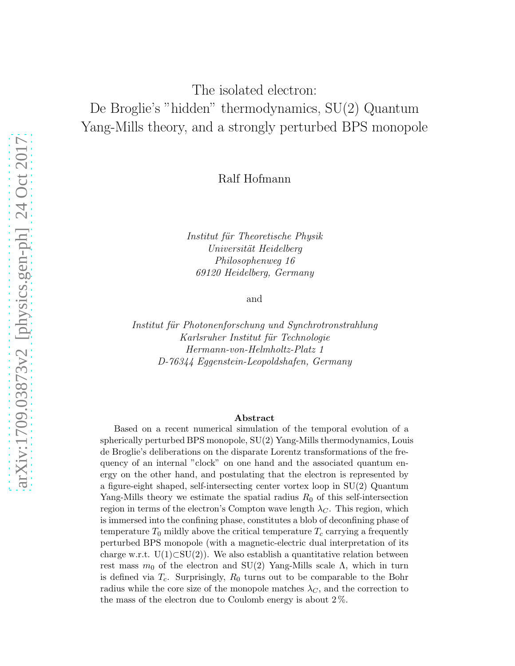# The isolated electron: De Broglie's "hidden" thermodynamics, SU(2) Quantum Yang-Mills theory, and a strongly perturbed BPS monopole

#### Ralf Hofmann

*Institut f¨ur Theoretische Physik Universit¨at Heidelberg Philosophenweg 16 69120 Heidelberg, Germany*

and

*Institut f¨ur Photonenforschung und Synchrotronstrahlung Karlsruher Institut f¨ur Technologie Hermann-von-Helmholtz-Platz 1 D-76344 Eggenstein-Leopoldshafen, Germany*

#### Abstract

Based on a recent numerical simulation of the temporal evolution of a spherically perturbed BPS monopole, SU(2) Yang-Mills thermodynamics, Louis de Broglie's deliberations on the disparate Lorentz transformations of the frequency of an internal "clock" on one hand and the associated quantum energy on the other hand, and postulating that the electron is represented by a figure-eight shaped, self-intersecting center vortex loop in SU(2) Quantum Yang-Mills theory we estimate the spatial radius  $R_0$  of this self-intersection region in terms of the electron's Compton wave length  $\lambda_C$ . This region, which is immersed into the confining phase, constitutes a blob of deconfining phase of temperature  $T_0$  mildly above the critical temperature  $T_c$  carrying a frequently perturbed BPS monopole (with a magnetic-electric dual interpretation of its charge w.r.t.  $U(1)\subset SU(2)$ ). We also establish a quantitative relation between rest mass  $m_0$  of the electron and SU(2) Yang-Mills scale  $\Lambda$ , which in turn is defined via  $T_c$ . Surprisingly,  $R_0$  turns out to be comparable to the Bohr radius while the core size of the monopole matches  $\lambda_C$ , and the correction to the mass of the electron due to Coulomb energy is about 2 %.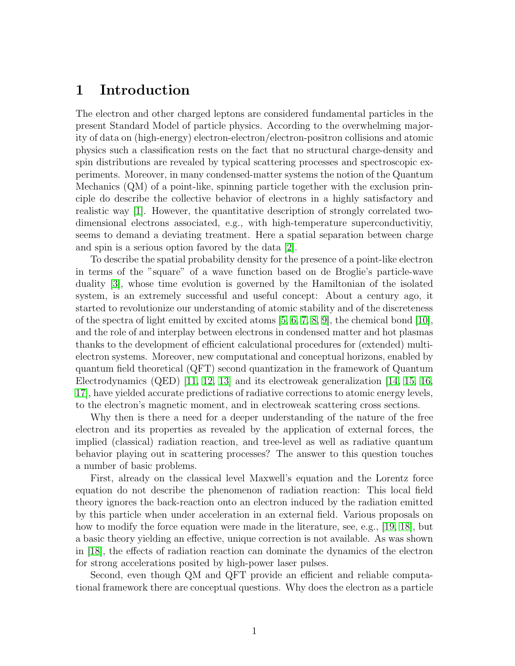#### 1 Introduction

The electron and other charged leptons are considered fundamental particles in the present Standard Model of particle physics. According to the overwhelming majority of data on (high-energy) electron-electron/electron-positron collisions and atomic physics such a classification rests on the fact that no structural charge-density and spin distributions are revealed by typical scattering processes and spectroscopic experiments. Moreover, in many condensed-matter systems the notion of the Quantum Mechanics (QM) of a point-like, spinning particle together with the exclusion principle do describe the collective behavior of electrons in a highly satisfactory and realistic way [\[1\]](#page-12-0). However, the quantitative description of strongly correlated twodimensional electrons associated, e.g., with high-temperature superconductivitiy, seems to demand a deviating treatment. Here a spatial separation between charge and spin is a serious option favored by the data [\[2\]](#page-12-1).

To describe the spatial probability density for the presence of a point-like electron in terms of the "square" of a wave function based on de Broglie's particle-wave duality [\[3\]](#page-12-2), whose time evolution is governed by the Hamiltonian of the isolated system, is an extremely successful and useful concept: About a century ago, it started to revolutionize our understanding of atomic stability and of the discreteness of the spectra of light emitted by excited atoms  $[5, 6, 7, 8, 9]$  $[5, 6, 7, 8, 9]$  $[5, 6, 7, 8, 9]$  $[5, 6, 7, 8, 9]$  $[5, 6, 7, 8, 9]$ , the chemical bond  $[10]$ , and the role of and interplay between electrons in condensed matter and hot plasmas thanks to the development of efficient calculational procedures for (extended) multielectron systems. Moreover, new computational and conceptual horizons, enabled by quantum field theoretical (QFT) second quantization in the framework of Quantum Electrodynamics (QED) [\[11,](#page-13-1) [12,](#page-13-2) [13\]](#page-13-3) and its electroweak generalization [\[14,](#page-13-4) [15,](#page-13-5) [16,](#page-13-6) [17\]](#page-13-7), have yielded accurate predictions of radiative corrections to atomic energy levels, to the electron's magnetic moment, and in electroweak scattering cross sections.

Why then is there a need for a deeper understanding of the nature of the free electron and its properties as revealed by the application of external forces, the implied (classical) radiation reaction, and tree-level as well as radiative quantum behavior playing out in scattering processes? The answer to this question touches a number of basic problems.

First, already on the classical level Maxwell's equation and the Lorentz force equation do not describe the phenomenon of radiation reaction: This local field theory ignores the back-reaction onto an electron induced by the radiation emitted by this particle when under acceleration in an external field. Various proposals on how to modify the force equation were made in the literature, see, e.g., [\[19,](#page-13-8) [18\]](#page-13-9), but a basic theory yielding an effective, unique correction is not available. As was shown in [\[18\]](#page-13-9), the effects of radiation reaction can dominate the dynamics of the electron for strong accelerations posited by high-power laser pulses.

Second, even though QM and QFT provide an efficient and reliable computational framework there are conceptual questions. Why does the electron as a particle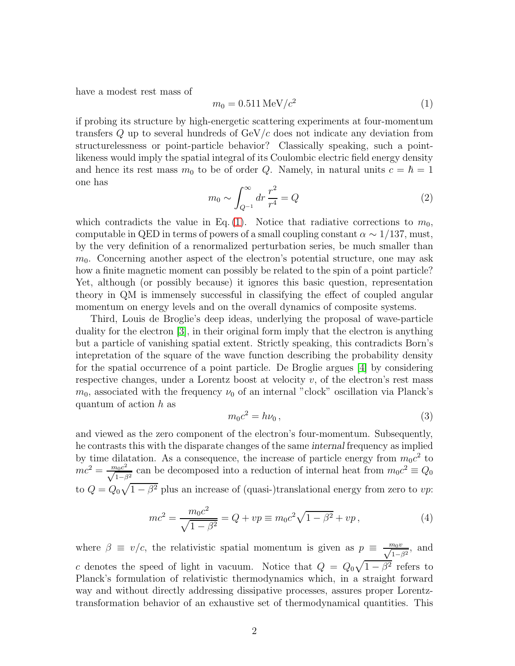have a modest rest mass of

<span id="page-2-0"></span>
$$
m_0 = 0.511 \,\text{MeV}/c^2 \tag{1}
$$

if probing its structure by high-energetic scattering experiments at four-momentum transfers  $Q$  up to several hundreds of  $GeV/c$  does not indicate any deviation from structurelessness or point-particle behavior? Classically speaking, such a pointlikeness would imply the spatial integral of its Coulombic electric field energy density and hence its rest mass  $m_0$  to be of order Q. Namely, in natural units  $c = \hbar = 1$ one has

$$
m_0 \sim \int_{Q^{-1}}^{\infty} dr \, \frac{r^2}{r^4} = Q \tag{2}
$$

which contradicts the value in Eq. [\(1\)](#page-2-0). Notice that radiative corrections to  $m_0$ , computable in QED in terms of powers of a small coupling constant  $\alpha \sim 1/137$ , must, by the very definition of a renormalized perturbation series, be much smaller than  $m<sub>0</sub>$ . Concerning another aspect of the electron's potential structure, one may ask how a finite magnetic moment can possibly be related to the spin of a point particle? Yet, although (or possibly because) it ignores this basic question, representation theory in QM is immensely successful in classifying the effect of coupled angular momentum on energy levels and on the overall dynamics of composite systems.

Third, Louis de Broglie's deep ideas, underlying the proposal of wave-particle duality for the electron [\[3\]](#page-12-2), in their original form imply that the electron is anything but a particle of vanishing spatial extent. Strictly speaking, this contradicts Born's intepretation of the square of the wave function describing the probability density for the spatial occurrence of a point particle. De Broglie argues [\[4\]](#page-12-8) by considering respective changes, under a Lorentz boost at velocity  $v$ , of the electron's rest mass  $m_0$ , associated with the frequency  $\nu_0$  of an internal "clock" oscillation via Planck's quantum of action h as

$$
m_0 c^2 = h\nu_0 \,,\tag{3}
$$

and viewed as the zero component of the electron's four-momentum. Subsequently, he contrasts this with the disparate changes of the same internal frequency as implied by time dilatation. As a consequence, the increase of particle energy from  $m_0c^2$  to  $mc^2 = \frac{m_0 c^2}{\sqrt{1-\beta^2}}$  can be decomposed into a reduction of internal heat from  $m_0 c^2 \equiv Q_0$ to  $Q = Q_0 \sqrt{1 - \beta^2}$  plus an increase of (quasi-)translational energy from zero to vp:

<span id="page-2-1"></span>
$$
mc^2 = \frac{m_0 c^2}{\sqrt{1 - \beta^2}} = Q + vp \equiv m_0 c^2 \sqrt{1 - \beta^2} + vp,
$$
\n(4)

where  $\beta \equiv v/c$ , the relativistic spatial momentum is given as  $p \equiv \frac{m_0v}{\sqrt{1-\beta^2}}$ , and c denotes the speed of light in vacuum. Notice that  $Q = Q_0 \sqrt{1 - \beta^2}$  refers to Planck's formulation of relativistic thermodynamics which, in a straight forward way and without directly addressing dissipative processes, assures proper Lorentztransformation behavior of an exhaustive set of thermodynamical quantities. This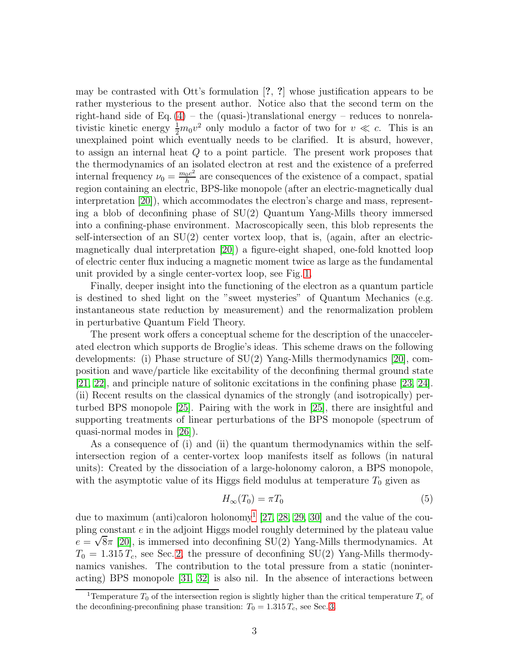may be contrasted with Ott's formulation [?, ?] whose justification appears to be rather mysterious to the present author. Notice also that the second term on the right-hand side of Eq.  $(4)$  – the (quasi-)translational energy – reduces to nonrelativistic kinetic energy  $\frac{1}{2}m_0v^2$  only modulo a factor of two for  $v \ll c$ . This is an unexplained point which eventually needs to be clarified. It is absurd, however, to assign an internal heat Q to a point particle. The present work proposes that the thermodynamics of an isolated electron at rest and the existence of a preferred internal frequency  $\nu_0 = \frac{m_0 c^2}{h}$  $\frac{0}{h}$ <sup>ac</sup> are consequences of the existence of a compact, spatial region containing an electric, BPS-like monopole (after an electric-magnetically dual interpretation [\[20\]](#page-13-10)), which accommodates the electron's charge and mass, representing a blob of deconfining phase of SU(2) Quantum Yang-Mills theory immersed into a confining-phase environment. Macroscopically seen, this blob represents the self-intersection of an  $SU(2)$  center vortex loop, that is, (again, after an electricmagnetically dual interpretation [\[20\]](#page-13-10)) a figure-eight shaped, one-fold knotted loop of electric center flux inducing a magnetic moment twice as large as the fundamental unit provided by a single center-vortex loop, see Fig. [1.](#page-4-0)

Finally, deeper insight into the functioning of the electron as a quantum particle is destined to shed light on the "sweet mysteries" of Quantum Mechanics (e.g. instantaneous state reduction by measurement) and the renormalization problem in perturbative Quantum Field Theory.

The present work offers a conceptual scheme for the description of the unaccelerated electron which supports de Broglie's ideas. This scheme draws on the following developments: (i) Phase structure of SU(2) Yang-Mills thermodynamics [\[20\]](#page-13-10), composition and wave/particle like excitability of the deconfining thermal ground state [\[21,](#page-13-11) [22\]](#page-13-12), and principle nature of solitonic excitations in the confining phase [\[23,](#page-13-13) [24\]](#page-13-14). (ii) Recent results on the classical dynamics of the strongly (and isotropically) perturbed BPS monopole [\[25\]](#page-13-15). Pairing with the work in [\[25\]](#page-13-15), there are insightful and supporting treatments of linear perturbations of the BPS monopole (spectrum of quasi-normal modes in [\[26\]](#page-14-0)).

As a consequence of (i) and (ii) the quantum thermodynamics within the selfintersection region of a center-vortex loop manifests itself as follows (in natural units): Created by the dissociation of a large-holonomy caloron, a BPS monopole, with the asymptotic value of its Higgs field modulus at temperature  $T_0$  given as

<span id="page-3-1"></span>
$$
H_{\infty}(T_0) = \pi T_0 \tag{5}
$$

due to maximum (anti)caloron holonomy<sup>[1](#page-3-0)</sup> [\[27,](#page-14-1) [28,](#page-14-2) [29,](#page-14-3) [30\]](#page-14-4) and the value of the coupling constant e in the adjoint Higgs model roughly determined by the plateau value  $e = \sqrt{8\pi}$  [\[20\]](#page-13-10), is immersed into deconfining SU(2) Yang-Mills thermodynamics. At  $T_0 = 1.315 T_c$ , see Sec. [2,](#page-5-0) the pressure of deconfining SU(2) Yang-Mills thermodynamics vanishes. The contribution to the total pressure from a static (noninteracting) BPS monopole [\[31,](#page-14-5) [32\]](#page-14-6) is also nil. In the absence of interactions between

<span id="page-3-0"></span><sup>&</sup>lt;sup>1</sup>Temperature  $T_0$  of the intersection region is slightly higher than the critical temperature  $T_c$  of the deconfining-preconfining phase transition:  $T_0 = 1.315 T_c$ , see Sec. [3.](#page-6-0)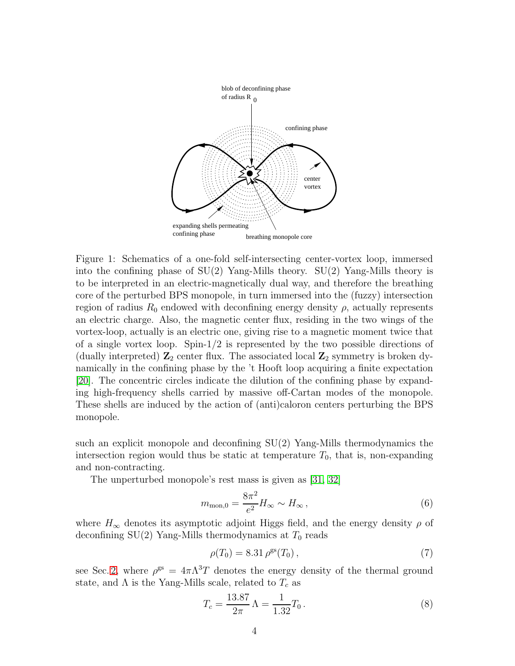

<span id="page-4-0"></span>Figure 1: Schematics of a one-fold self-intersecting center-vortex loop, immersed into the confining phase of  $SU(2)$  Yang-Mills theory.  $SU(2)$  Yang-Mills theory is to be interpreted in an electric-magnetically dual way, and therefore the breathing core of the perturbed BPS monopole, in turn immersed into the (fuzzy) intersection region of radius  $R_0$  endowed with deconfining energy density  $\rho$ , actually represents an electric charge. Also, the magnetic center flux, residing in the two wings of the vortex-loop, actually is an electric one, giving rise to a magnetic moment twice that of a single vortex loop. Spin- $1/2$  is represented by the two possible directions of (dually interpreted)  $\mathbb{Z}_2$  center flux. The associated local  $\mathbb{Z}_2$  symmetry is broken dynamically in the confining phase by the 't Hooft loop acquiring a finite expectation [\[20\]](#page-13-10). The concentric circles indicate the dilution of the confining phase by expanding high-frequency shells carried by massive off-Cartan modes of the monopole. These shells are induced by the action of (anti)caloron centers perturbing the BPS monopole.

such an explicit monopole and deconfining SU(2) Yang-Mills thermodynamics the intersection region would thus be static at temperature  $T_0$ , that is, non-expanding and non-contracting.

The unperturbed monopole's rest mass is given as [\[31,](#page-14-5) [32\]](#page-14-6)

<span id="page-4-1"></span>
$$
m_{\text{mon,0}} = \frac{8\pi^2}{e^2} H_{\infty} \sim H_{\infty},\tag{6}
$$

where  $H_{\infty}$  denotes its asymptotic adjoint Higgs field, and the energy density  $\rho$  of deconfining  $SU(2)$  Yang-Mills thermodynamics at  $T_0$  reads

$$
\rho(T_0) = 8.31 \,\rho^{\rm gs}(T_0) \,,\tag{7}
$$

see Sec. [2,](#page-5-0) where  $\rho^{gs} = 4\pi\Lambda^3 T$  denotes the energy density of the thermal ground state, and  $\Lambda$  is the Yang-Mills scale, related to  $T_c$  as

$$
T_c = \frac{13.87}{2\pi} \,\Lambda = \frac{1}{1.32} T_0 \,. \tag{8}
$$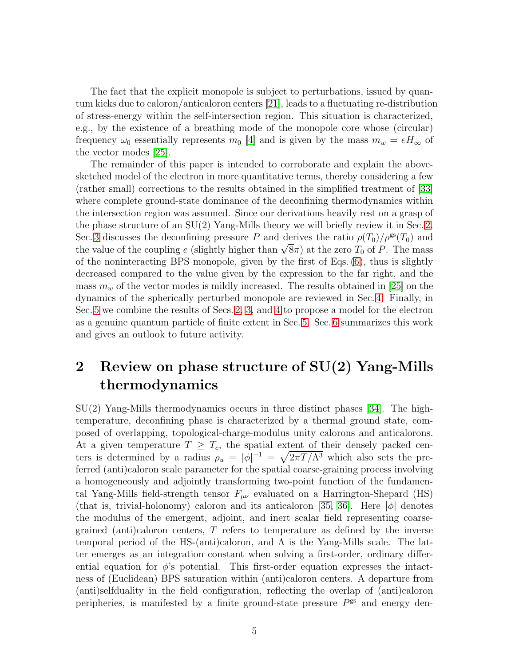The fact that the explicit monopole is subject to perturbations, issued by quantum kicks due to caloron/anticaloron centers [\[21\]](#page-13-11), leads to a fluctuating re-distribution of stress-energy within the self-intersection region. This situation is characterized, e.g., by the existence of a breathing mode of the monopole core whose (circular) frequency  $\omega_0$  essentially represents  $m_0$  [\[4\]](#page-12-8) and is given by the mass  $m_w = eH_\infty$  of the vector modes [\[25\]](#page-13-15).

The remainder of this paper is intended to corroborate and explain the abovesketched model of the electron in more quantitative terms, thereby considering a few (rather small) corrections to the results obtained in the simplified treatment of [\[33\]](#page-14-7) where complete ground-state dominance of the deconfining thermodynamics within the intersection region was assumed. Since our derivations heavily rest on a grasp of the phase structure of an SU(2) Yang-Mills theory we will briefly review it in Sec. [2.](#page-5-0) Sec. [3](#page-6-0) discusses the deconfining pressure P and derives the ratio  $\rho(T_0)/\rho^{gs}(T_0)$  and the value of the coupling e (slightly higher than  $\sqrt{8\pi}$ ) at the zero  $T_0$  of P. The mass of the noninteracting BPS monopole, given by the first of Eqs. [\(6\)](#page-4-1), thus is slightly decreased compared to the value given by the expression to the far right, and the mass  $m_w$  of the vector modes is mildly increased. The results obtained in [\[25\]](#page-13-15) on the dynamics of the spherically perturbed monopole are reviewed in Sec. [4.](#page-8-0) Finally, in Sec. [5](#page-9-0) we combine the results of Secs. [2,](#page-5-0) [3,](#page-6-0) and [4](#page-8-0) to propose a model for the electron as a genuine quantum particle of finite extent in Sec. [5.](#page-9-0) Sec. [6](#page-11-0) summarizes this work and gives an outlook to future activity.

## <span id="page-5-0"></span>2 Review on phase structure of SU(2) Yang-Mills thermodynamics

SU(2) Yang-Mills thermodynamics occurs in three distinct phases [\[34\]](#page-14-8). The hightemperature, deconfining phase is characterized by a thermal ground state, composed of overlapping, topological-charge-modulus unity calorons and anticalorons. At a given temperature  $T \geq T_c$ , the spatial extent of their densely packed centers is determined by a radius  $\rho_u = |\phi|^{-1} = \sqrt{2\pi T/\Lambda^3}$  which also sets the preferred (anti)caloron scale parameter for the spatial coarse-graining process involving a homogeneously and adjointly transforming two-point function of the fundamental Yang-Mills field-strength tensor  $F_{\mu\nu}$  evaluated on a Harrington-Shepard (HS) (that is, trivial-holonomy) caloron and its anticaloron [\[35,](#page-14-9) [36\]](#page-14-10). Here  $|\phi|$  denotes the modulus of the emergent, adjoint, and inert scalar field representing coarsegrained (anti)caloron centers, T refers to temperature as defined by the inverse temporal period of the HS-(anti)caloron, and  $\Lambda$  is the Yang-Mills scale. The latter emerges as an integration constant when solving a first-order, ordinary differential equation for  $\phi$ 's potential. This first-order equation expresses the intactness of (Euclidean) BPS saturation within (anti)caloron centers. A departure from (anti)selfduality in the field configuration, reflecting the overlap of (anti)caloron peripheries, is manifested by a finite ground-state pressure  $P<sup>gs</sup>$  and energy den-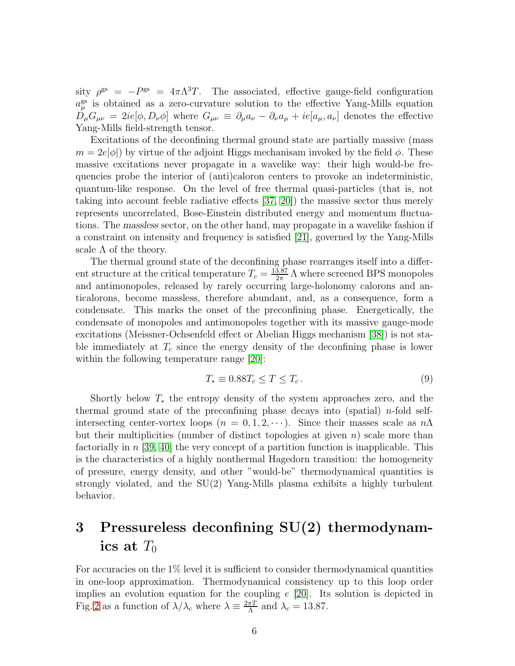sity  $\rho^{\text{gs}} = -P^{\text{gs}} = 4\pi\Lambda^3 T$ . The associated, effective gauge-field configuration  $a_{\mu}^{\text{gs}}$  is obtained as a zero-curvature solution to the effective Yang-Mills equation  $\bar{D}_{\mu}G_{\mu\nu} = 2ie[\phi, D_{\nu}\phi]$  where  $G_{\mu\nu} \equiv \partial_{\mu}a_{\nu} - \partial_{\nu}a_{\mu} + ie[a_{\mu}, a_{\nu}]$  denotes the effective Yang-Mills field-strength tensor.

Excitations of the deconfining thermal ground state are partially massive (mass  $m = 2e|\phi|$ ) by virtue of the adjoint Higgs mechanisam invoked by the field  $\phi$ . These massive excitations never propagate in a wavelike way: their high would-be frequencies probe the interior of (anti)caloron centers to provoke an indeterministic, quantum-like response. On the level of free thermal quasi-particles (that is, not taking into account feeble radiative effects [\[37,](#page-14-11) [20\]](#page-13-10)) the massive sector thus merely represents uncorrelated, Bose-Einstein distributed energy and momentum fluctuations. The massless sector, on the other hand, may propagate in a wavelike fashion if a constraint on intensity and frequency is satisfied [\[21\]](#page-13-11), governed by the Yang-Mills scale  $\Lambda$  of the theory.

The thermal ground state of the deconfining phase rearranges itself into a different structure at the critical temperature  $T_c = \frac{13.87}{2\pi}$  $\frac{3.87}{2\pi}$  A where screened BPS monopoles and antimonopoles, released by rarely occurring large-holonomy calorons and anticalorons, become massless, therefore abundant, and, as a consequence, form a condensate. This marks the onset of the preconfining phase. Energetically, the condensate of monopoles and antimonopoles together with its massive gauge-mode excitations (Meissner-Ochsenfeld effect or Abelian Higgs mechanism [\[38\]](#page-15-0)) is not stable immediately at  $T_c$  since the energy density of the deconfining phase is lower within the following temperature range  $|20|$ :

$$
T_* \equiv 0.88T_c \le T \le T_c. \tag{9}
$$

Shortly below  $T_*$  the entropy density of the system approaches zero, and the thermal ground state of the preconfining phase decays into (spatial) *n*-fold selfintersecting center-vortex loops ( $n = 0, 1, 2, \cdots$ ). Since their masses scale as  $n\Lambda$ but their multiplicities (number of distinct topologies at given  $n$ ) scale more than factorially in  $n \geq 39, 40$  the very concept of a partition function is inapplicable. This is the characteristics of a highly nonthermal Hagedorn transition: the homogeneity of pressure, energy density, and other "would-be" thermodynamical quantities is strongly violated, and the SU(2) Yang-Mills plasma exhibits a highly turbulent behavior.

## <span id="page-6-0"></span>3 Pressureless deconfining SU(2) thermodynamics at  $T_0$

For accuracies on the 1% level it is sufficient to consider thermodynamical quantities in one-loop approximation. Thermodynamical consistency up to this loop order implies an evolution equation for the coupling  $e$  [\[20\]](#page-13-10). Its solution is depicted in Fig. [2](#page-7-0) as a function of  $\lambda/\lambda_c$  where  $\lambda \equiv \frac{2\pi T}{\Lambda}$  $\frac{\pi T}{\Lambda}$  and  $\lambda_c = 13.87$ .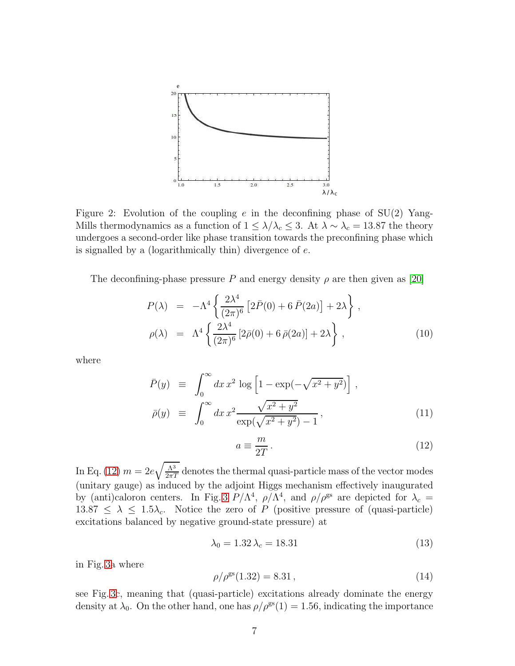

<span id="page-7-0"></span>Figure 2: Evolution of the coupling  $e$  in the deconfining phase of  $SU(2)$  Yang-Mills thermodynamics as a function of  $1 \leq \lambda/\lambda_c \leq 3$ . At  $\lambda \sim \lambda_c = 13.87$  the theory undergoes a second-order like phase transition towards the preconfining phase which is signalled by a (logarithmically thin) divergence of  $e$ .

The deconfining-phase pressure P and energy density  $\rho$  are then given as [\[20\]](#page-13-10)

$$
P(\lambda) = -\Lambda^4 \left\{ \frac{2\lambda^4}{(2\pi)^6} \left[ 2\bar{P}(0) + 6\,\bar{P}(2a) \right] + 2\lambda \right\},
$$
  
\n
$$
\rho(\lambda) = \Lambda^4 \left\{ \frac{2\lambda^4}{(2\pi)^6} \left[ 2\bar{\rho}(0) + 6\,\bar{\rho}(2a) \right] + 2\lambda \right\},
$$
\n(10)

where

$$
\bar{P}(y) \equiv \int_0^\infty dx \, x^2 \log \left[ 1 - \exp(-\sqrt{x^2 + y^2}) \right],
$$
  
\n
$$
\bar{\rho}(y) \equiv \int_0^\infty dx \, x^2 \frac{\sqrt{x^2 + y^2}}{\exp(\sqrt{x^2 + y^2}) - 1},
$$
\n(11)

<span id="page-7-1"></span>
$$
a \equiv \frac{m}{2T} \,. \tag{12}
$$

In Eq. [\(12\)](#page-7-1)  $m = 2e\sqrt{\frac{\Lambda^3}{2\pi T}}$  denotes the thermal quasi-particle mass of the vector modes (unitary gauge) as induced by the adjoint Higgs mechanism effectively inaugurated by (anti)caloron centers. In Fig. [3](#page-8-1)  $P/\Lambda^4$ ,  $\rho/\Lambda^4$ , and  $\rho/\rho^{\rm gs}$  are depicted for  $\lambda_c =$  $13.87 \leq \lambda \leq 1.5\lambda_c$ . Notice the zero of P (positive pressure of (quasi-particle) excitations balanced by negative ground-state pressure) at

<span id="page-7-2"></span>
$$
\lambda_0 = 1.32 \lambda_c = 18.31\tag{13}
$$

in Fig. [3a](#page-8-1) where

<span id="page-7-3"></span>
$$
\rho/\rho^{\rm gs}(1.32) = 8.31\,,\tag{14}
$$

see Fig. [3c](#page-8-1), meaning that (quasi-particle) excitations already dominate the energy density at  $\lambda_0$ . On the other hand, one has  $\rho/\rho^{gs}(1) = 1.56$ , indicating the importance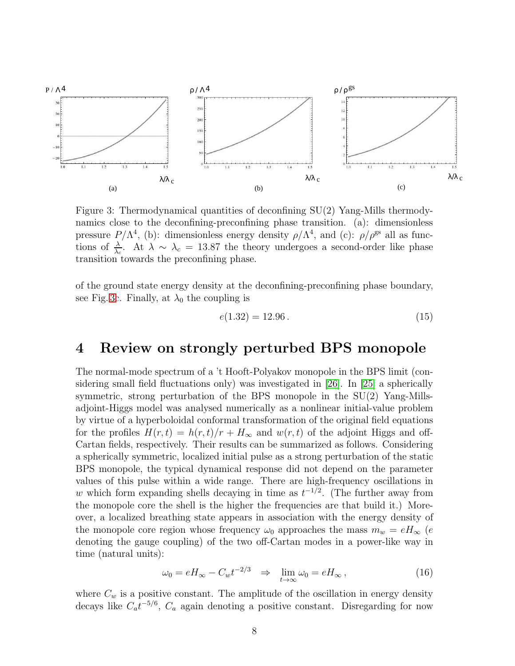

<span id="page-8-1"></span>Figure 3: Thermodynamical quantities of deconfining SU(2) Yang-Mills thermodynamics close to the deconfining-preconfining phase transition. (a): dimensionless pressure  $P/\Lambda^4$ , (b): dimensionless energy density  $\rho/\Lambda^4$ , and (c):  $\rho/\rho^{gs}$  all as functions of  $\frac{\lambda}{\lambda_c}$ . At  $\lambda \sim \lambda_c = 13.87$  the theory undergoes a second-order like phase transition towards the preconfining phase.

of the ground state energy density at the deconfining-preconfining phase boundary, see Fig. [3c](#page-8-1). Finally, at  $\lambda_0$  the coupling is

<span id="page-8-3"></span>
$$
e(1.32) = 12.96 \,. \tag{15}
$$

## <span id="page-8-0"></span>4 Review on strongly perturbed BPS monopole

The normal-mode spectrum of a 't Hooft-Polyakov monopole in the BPS limit (considering small field fluctuations only) was investigated in [\[26\]](#page-14-0). In [\[25\]](#page-13-15) a spherically symmetric, strong perturbation of the BPS monopole in the SU(2) Yang-Millsadjoint-Higgs model was analysed numerically as a nonlinear initial-value problem by virtue of a hyperboloidal conformal transformation of the original field equations for the profiles  $H(r, t) = h(r, t)/r + H_{\infty}$  and  $w(r, t)$  of the adjoint Higgs and off-Cartan fields, respectively. Their results can be summarized as follows. Considering a spherically symmetric, localized initial pulse as a strong perturbation of the static BPS monopole, the typical dynamical response did not depend on the parameter values of this pulse within a wide range. There are high-frequency oscillations in w which form expanding shells decaying in time as  $t^{-1/2}$ . (The further away from the monopole core the shell is the higher the frequencies are that build it.) Moreover, a localized breathing state appears in association with the energy density of the monopole core region whose frequency  $\omega_0$  approaches the mass  $m_w = eH_\infty$  (e denoting the gauge coupling) of the two off-Cartan modes in a power-like way in time (natural units):

<span id="page-8-2"></span>
$$
\omega_0 = eH_{\infty} - C_w t^{-2/3} \quad \Rightarrow \quad \lim_{t \to \infty} \omega_0 = eH_{\infty} \,, \tag{16}
$$

where  $C_w$  is a positive constant. The amplitude of the oscillation in energy density decays like  $C_a t^{-5/6}$ ,  $C_a$  again denoting a positive constant. Disregarding for now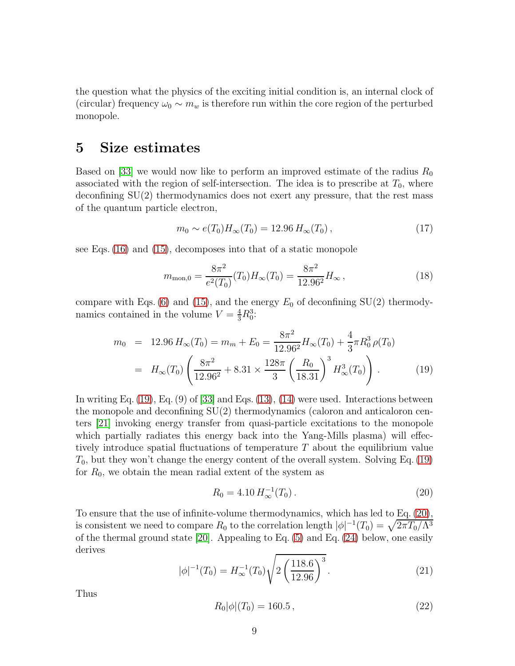the question what the physics of the exciting initial condition is, an internal clock of (circular) frequency  $\omega_0 \sim m_w$  is therefore run within the core region of the perturbed monopole.

#### <span id="page-9-0"></span>5 Size estimates

Based on [\[33\]](#page-14-7) we would now like to perform an improved estimate of the radius  $R_0$ associated with the region of self-intersection. The idea is to prescribe at  $T_0$ , where deconfining SU(2) thermodynamics does not exert any pressure, that the rest mass of the quantum particle electron,

$$
m_0 \sim e(T_0)H_\infty(T_0) = 12.96 H_\infty(T_0), \qquad (17)
$$

see Eqs. [\(16\)](#page-8-2) and [\(15\)](#page-8-3), decomposes into that of a static monopole

$$
m_{\text{mon,0}} = \frac{8\pi^2}{e^2(T_0)}(T_0)H_\infty(T_0) = \frac{8\pi^2}{12.96^2}H_\infty,
$$
\n(18)

compare with Eqs. [\(6\)](#page-4-1) and [\(15\)](#page-8-3), and the energy  $E_0$  of deconfining SU(2) thermodynamics contained in the volume  $V = \frac{4}{3}R_0^3$ :

<span id="page-9-1"></span>
$$
m_0 = 12.96 H_{\infty}(T_0) = m_m + E_0 = \frac{8\pi^2}{12.96^2} H_{\infty}(T_0) + \frac{4}{3}\pi R_0^3 \rho(T_0)
$$
  
=  $H_{\infty}(T_0) \left(\frac{8\pi^2}{12.96^2} + 8.31 \times \frac{128\pi}{3} \left(\frac{R_0}{18.31}\right)^3 H_{\infty}^3(T_0)\right).$  (19)

In writing Eq.  $(19)$ , Eq.  $(9)$  of  $[33]$  and Eqs.  $(13)$ ,  $(14)$  were used. Interactions between the monopole and deconfining SU(2) thermodynamics (caloron and anticaloron centers [\[21\]](#page-13-11) invoking energy transfer from quasi-particle excitations to the monopole which partially radiates this energy back into the Yang-Mills plasma) will effectively introduce spatial fluctuations of temperature T about the equilibrium value  $T_0$ , but they won't change the energy content of the overall system. Solving Eq. [\(19\)](#page-9-1) for  $R_0$ , we obtain the mean radial extent of the system as

<span id="page-9-2"></span>
$$
R_0 = 4.10 \, H_\infty^{-1}(T_0) \,. \tag{20}
$$

To ensure that the use of infinite-volume thermodynamics, which has led to Eq. [\(20\)](#page-9-2), is consistent we need to compare  $R_0$  to the correlation length  $|\phi|^{-1}(T_0) = \sqrt{2\pi T_0/\Lambda^3}$ of the thermal ground state [\[20\]](#page-13-10). Appealing to Eq.  $(5)$  and Eq.  $(24)$  below, one easily derives

$$
|\phi|^{-1}(T_0) = H_{\infty}^{-1}(T_0) \sqrt{2\left(\frac{118.6}{12.96}\right)^3}.
$$
 (21)

Thus

$$
R_0|\phi|(T_0) = 160.5\,,\tag{22}
$$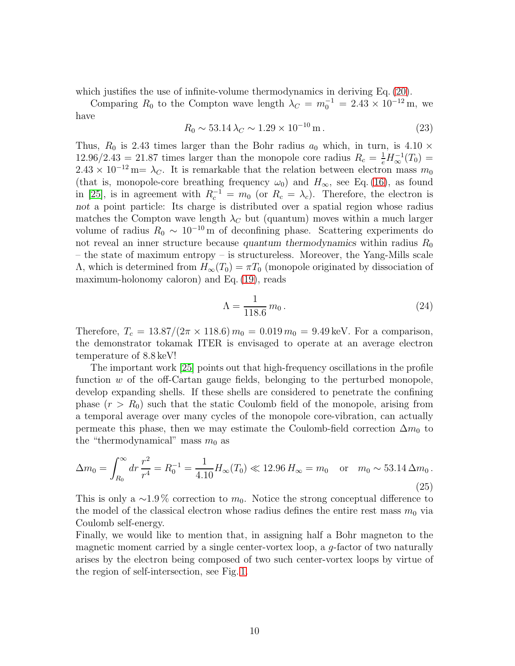which justifies the use of infinite-volume thermodynamics in deriving Eq.  $(20)$ .

Comparing  $R_0$  to the Compton wave length  $\lambda_C = m_0^{-1} = 2.43 \times 10^{-12}$  m, we have

$$
R_0 \sim 53.14 \,\lambda_C \sim 1.29 \times 10^{-10} \,\text{m} \,. \tag{23}
$$

Thus,  $R_0$  is 2.43 times larger than the Bohr radius  $a_0$  which, in turn, is 4.10  $\times$  $12.96/2.43 = 21.87$  times larger than the monopole core radius  $R_c = \frac{1}{e} H_{\infty}^{-1}(T_0)$  $2.43 \times 10^{-12}$  m=  $\lambda_C$ . It is remarkable that the relation between electron mass  $m_0$ (that is, monopole-core breathing frequency  $\omega_0$ ) and  $H_{\infty}$ , see Eq. [\(16\)](#page-8-2), as found in [\[25\]](#page-13-15), is in agreement with  $R_c^{-1} = m_0$  (or  $R_c = \lambda_c$ ). Therefore, the electron is not a point particle: Its charge is distributed over a spatial region whose radius matches the Compton wave length  $\lambda_C$  but (quantum) moves within a much larger volume of radius  $R_0 \sim 10^{-10}$  m of deconfining phase. Scattering experiments do not reveal an inner structure because quantum thermodynamics within radius  $R_0$ – the state of maximum entropy – is structureless. Moreover, the Yang-Mills scale A, which is determined from  $H_{\infty}(T_0) = \pi T_0$  (monopole originated by dissociation of maximum-holonomy caloron) and Eq. [\(19\)](#page-9-1), reads

<span id="page-10-0"></span>
$$
\Lambda = \frac{1}{118.6} \, m_0 \,. \tag{24}
$$

Therefore,  $T_c = 13.87/(2\pi \times 118.6) m_0 = 0.019 m_0 = 9.49 \,\text{keV}$ . For a comparison, the demonstrator tokamak ITER is envisaged to operate at an average electron temperature of 8.8 keV!

The important work [\[25\]](#page-13-15) points out that high-frequency oscillations in the profile function w of the off-Cartan gauge fields, belonging to the perturbed monopole, develop expanding shells. If these shells are considered to penetrate the confining phase  $(r > R_0)$  such that the static Coulomb field of the monopole, arising from a temporal average over many cycles of the monopole core-vibration, can actually permeate this phase, then we may estimate the Coulomb-field correction  $\Delta m_0$  to the "thermodynamical" mass  $m_0$  as

$$
\Delta m_0 = \int_{R_0}^{\infty} dr \, \frac{r^2}{r^4} = R_0^{-1} = \frac{1}{4.10} H_{\infty}(T_0) \ll 12.96 \, H_{\infty} = m_0 \quad \text{or} \quad m_0 \sim 53.14 \, \Delta m_0 \,.
$$
\n(25)

This is only a ~1.9% correction to  $m_0$ . Notice the strong conceptual difference to the model of the classical electron whose radius defines the entire rest mass  $m_0$  via Coulomb self-energy.

Finally, we would like to mention that, in assigning half a Bohr magneton to the magnetic moment carried by a single center-vortex loop, a g-factor of two naturally arises by the electron being composed of two such center-vortex loops by virtue of the region of self-intersection, see Fig. [1.](#page-4-0)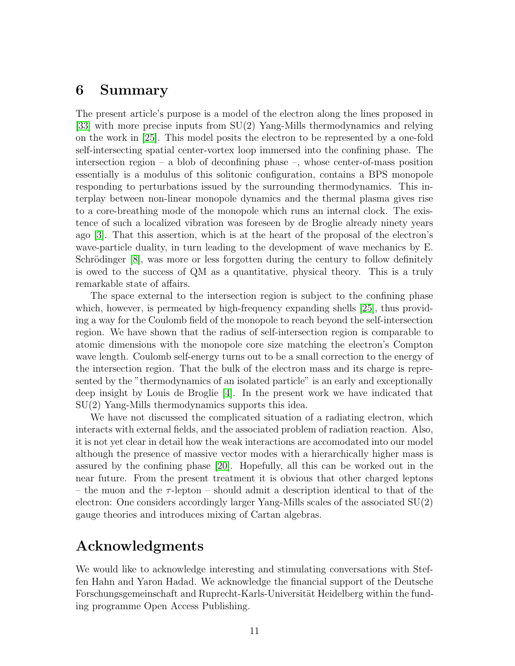#### <span id="page-11-0"></span>6 Summary

The present article's purpose is a model of the electron along the lines proposed in [\[33\]](#page-14-7) with more precise inputs from SU(2) Yang-Mills thermodynamics and relying on the work in [\[25\]](#page-13-15). This model posits the electron to be represented by a one-fold self-intersecting spatial center-vortex loop immersed into the confining phase. The intersection region – a blob of deconfining phase –, whose center-of-mass position essentially is a modulus of this solitonic configuration, contains a BPS monopole responding to perturbations issued by the surrounding thermodynamics. This interplay between non-linear monopole dynamics and the thermal plasma gives rise to a core-breathing mode of the monopole which runs an internal clock. The existence of such a localized vibration was foreseen by de Broglie already ninety years ago [\[3\]](#page-12-2). That this assertion, which is at the heart of the proposal of the electron's wave-particle duality, in turn leading to the development of wave mechanics by E. Schrödinger  $[8]$ , was more or less forgotten during the century to follow definitely is owed to the success of QM as a quantitative, physical theory. This is a truly remarkable state of affairs.

The space external to the intersection region is subject to the confining phase which, however, is permeated by high-frequency expanding shells [\[25\]](#page-13-15), thus providing a way for the Coulomb field of the monopole to reach beyond the self-intersection region. We have shown that the radius of self-intersection region is comparable to atomic dimensions with the monopole core size matching the electron's Compton wave length. Coulomb self-energy turns out to be a small correction to the energy of the intersection region. That the bulk of the electron mass and its charge is represented by the "thermodynamics of an isolated particle" is an early and exceptionally deep insight by Louis de Broglie [\[4\]](#page-12-8). In the present work we have indicated that SU(2) Yang-Mills thermodynamics supports this idea.

We have not discussed the complicated situation of a radiating electron, which interacts with external fields, and the associated problem of radiation reaction. Also, it is not yet clear in detail how the weak interactions are accomodated into our model although the presence of massive vector modes with a hierarchically higher mass is assured by the confining phase [\[20\]](#page-13-10). Hopefully, all this can be worked out in the near future. From the present treatment it is obvious that other charged leptons – the muon and the  $\tau$ -lepton – should admit a description identical to that of the electron: One considers accordingly larger Yang-Mills scales of the associated SU(2) gauge theories and introduces mixing of Cartan algebras.

## Acknowledgments

We would like to acknowledge interesting and stimulating conversations with Steffen Hahn and Yaron Hadad. We acknowledge the financial support of the Deutsche Forschungsgemeinschaft and Ruprecht-Karls-Universität Heidelberg within the funding programme Open Access Publishing.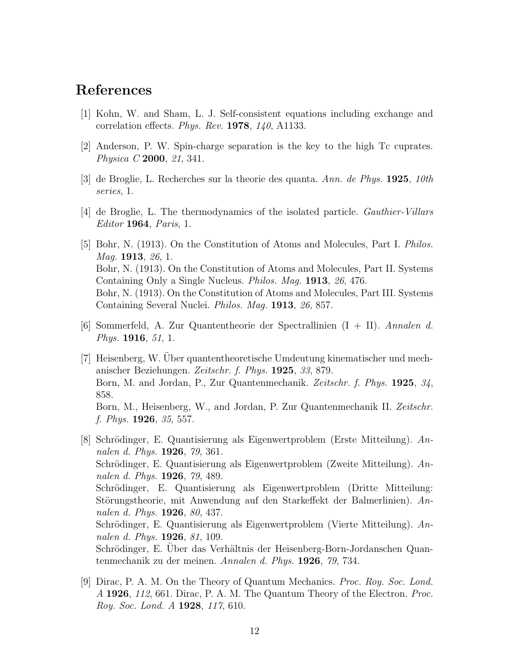#### <span id="page-12-0"></span>References

- <span id="page-12-1"></span>[1] Kohn, W. and Sham, L. J. Self-consistent equations including exchange and correlation effects. *Phys. Rev.* 1978, *140*, A1133.
- <span id="page-12-2"></span>[2] Anderson, P. W. Spin-charge separation is the key to the high Tc cuprates. *Physica C* 2000, *21*, 341.
- <span id="page-12-8"></span>[3] de Broglie, L. Recherches sur la theorie des quanta. *Ann. de Phys.* 1925, *10th series*, 1.
- <span id="page-12-3"></span>[4] de Broglie, L. The thermodynamics of the isolated particle. *Gauthier-Villars Editor* 1964, *Paris*, 1.
- [5] Bohr, N. (1913). On the Constitution of Atoms and Molecules, Part I. *Philos. Mag.* 1913, *26*, 1. Bohr, N. (1913). On the Constitution of Atoms and Molecules, Part II. Systems Containing Only a Single Nucleus. *Philos. Mag.* 1913, *26*, 476. Bohr, N. (1913). On the Constitution of Atoms and Molecules, Part III. Systems Containing Several Nuclei. *Philos. Mag.* 1913, *26*, 857.
- <span id="page-12-4"></span>[6] Sommerfeld, A. Zur Quantentheorie der Spectrallinien (I + II). *Annalen d. Phys.* 1916, *51*, 1.
- <span id="page-12-5"></span>[7] Heisenberg, W. Uber quantentheoretische Umdeutung kinematischer und mech- ¨ anischer Beziehungen. *Zeitschr. f. Phys.* 1925, *33*, 879. Born, M. and Jordan, P., Zur Quantenmechanik. *Zeitschr. f. Phys.* 1925, *34*, 858. Born, M., Heisenberg, W., and Jordan, P. Zur Quantenmechanik II. *Zeitschr. f. Phys.* 1926, *35*, 557.
- <span id="page-12-6"></span>[8] Schrödinger, E. Quantisierung als Eigenwertproblem (Erste Mitteilung). An*nalen d. Phys.* 1926, *79*, 361. Schrödinger, E. Quantisierung als Eigenwertproblem (Zweite Mitteilung). An*nalen d. Phys.* 1926, *79*, 489. Schrödinger, E. Quantisierung als Eigenwertproblem (Dritte Mitteilung: Störungstheorie, mit Anwendung auf den Starkeffekt der Balmerlinien). An*nalen d. Phys.* 1926, *80*, 437. Schrödinger, E. Quantisierung als Eigenwertproblem (Vierte Mitteilung). An*nalen d. Phys.* 1926, *81*, 109. Schrödinger, E. Uber das Verhältnis der Heisenberg-Born-Jordanschen Quantenmechanik zu der meinen. *Annalen d. Phys.* 1926, *79*, 734.
- <span id="page-12-7"></span>[9] Dirac, P. A. M. On the Theory of Quantum Mechanics. *Proc. Roy. Soc. Lond. A* 1926, *112*, 661. Dirac, P. A. M. The Quantum Theory of the Electron. *Proc. Roy. Soc. Lond. A* 1928, *117*, 610.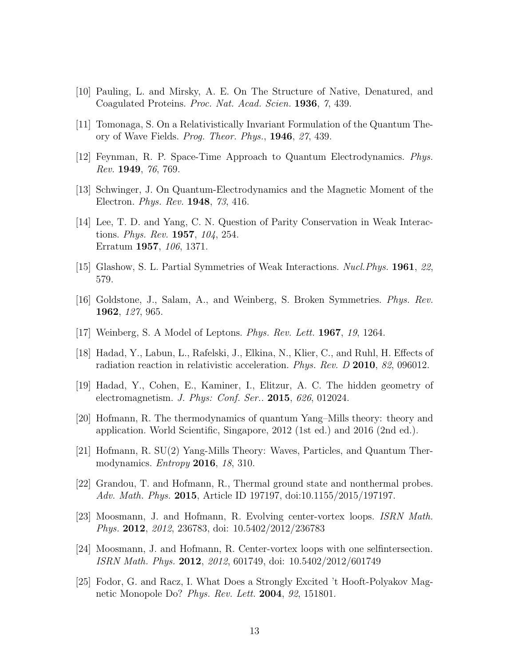- <span id="page-13-1"></span><span id="page-13-0"></span>[10] Pauling, L. and Mirsky, A. E. On The Structure of Native, Denatured, and Coagulated Proteins. *Proc. Nat. Acad. Scien.* 1936, *7*, 439.
- <span id="page-13-2"></span>[11] Tomonaga, S. On a Relativistically Invariant Formulation of the Quantum Theory of Wave Fields. *Prog. Theor. Phys.*, 1946, *27*, 439.
- <span id="page-13-3"></span>[12] Feynman, R. P. Space-Time Approach to Quantum Electrodynamics. *Phys. Rev.* 1949, *76*, 769.
- <span id="page-13-4"></span>[13] Schwinger, J. On Quantum-Electrodynamics and the Magnetic Moment of the Electron. *Phys. Rev.* 1948, *73*, 416.
- [14] Lee, T. D. and Yang, C. N. Question of Parity Conservation in Weak Interactions. *Phys. Rev.* 1957, *104*, 254. Erratum 1957, *106*, 1371.
- <span id="page-13-6"></span><span id="page-13-5"></span>[15] Glashow, S. L. Partial Symmetries of Weak Interactions. *Nucl.Phys.* 1961, *22*, 579.
- <span id="page-13-7"></span>[16] Goldstone, J., Salam, A., and Weinberg, S. Broken Symmetries. *Phys. Rev.* 1962, *127*, 965.
- <span id="page-13-9"></span>[17] Weinberg, S. A Model of Leptons. *Phys. Rev. Lett.* 1967, *19*, 1264.
- <span id="page-13-8"></span>[18] Hadad, Y., Labun, L., Rafelski, J., Elkina, N., Klier, C., and Ruhl, H. Effects of radiation reaction in relativistic acceleration. *Phys. Rev. D* 2010, *82*, 096012.
- <span id="page-13-10"></span>[19] Hadad, Y., Cohen, E., Kaminer, I., Elitzur, A. C. The hidden geometry of electromagnetism. *J. Phys: Conf. Ser..* 2015, *626*, 012024.
- [20] Hofmann, R. The thermodynamics of quantum Yang–Mills theory: theory and application. World Scientific, Singapore, 2012 (1st ed.) and 2016 (2nd ed.).
- <span id="page-13-12"></span><span id="page-13-11"></span>[21] Hofmann, R. SU(2) Yang-Mills Theory: Waves, Particles, and Quantum Thermodynamics. *Entropy* 2016, *18*, 310.
- [22] Grandou, T. and Hofmann, R., Thermal ground state and nonthermal probes. *Adv. Math. Phys.* 2015, Article ID 197197, doi:10.1155/2015/197197.
- <span id="page-13-13"></span>[23] Moosmann, J. and Hofmann, R. Evolving center-vortex loops. *ISRN Math. Phys.* 2012, *2012*, 236783, doi: 10.5402/2012/236783
- <span id="page-13-14"></span>[24] Moosmann, J. and Hofmann, R. Center-vortex loops with one selfintersection. *ISRN Math. Phys.* 2012, *2012*, 601749, doi: 10.5402/2012/601749
- <span id="page-13-15"></span>[25] Fodor, G. and Racz, I. What Does a Strongly Excited 't Hooft-Polyakov Magnetic Monopole Do? *Phys. Rev. Lett.* 2004, *92*, 151801.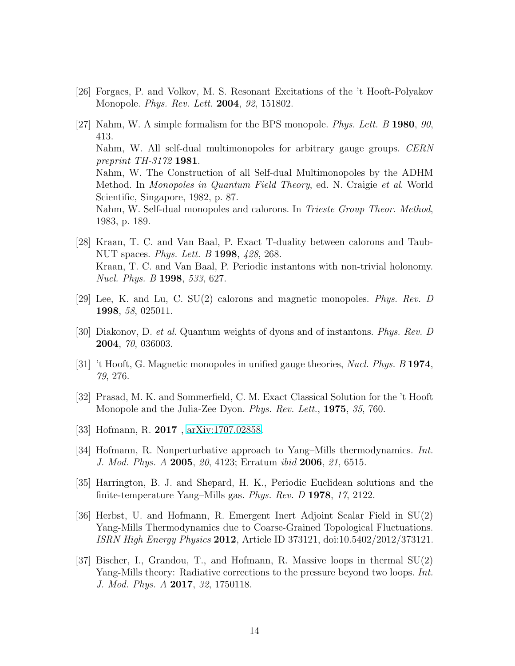- <span id="page-14-1"></span><span id="page-14-0"></span>[26] Forgacs, P. and Volkov, M. S. Resonant Excitations of the 't Hooft-Polyakov Monopole. *Phys. Rev. Lett.* 2004, *92*, 151802.
- [27] Nahm, W. A simple formalism for the BPS monopole. *Phys. Lett. B* 1980, *90*, 413. Nahm, W. All self-dual multimonopoles for arbitrary gauge groups. *CERN preprint TH-3172* 1981. Nahm, W. The Construction of all Self-dual Multimonopoles by the ADHM Method. In *Monopoles in Quantum Field Theory*, ed. N. Craigie *et al*. World Scientific, Singapore, 1982, p. 87. Nahm, W. Self-dual monopoles and calorons. In *Trieste Group Theor. Method*, 1983, p. 189.
- <span id="page-14-2"></span>[28] Kraan, T. C. and Van Baal, P. Exact T-duality between calorons and Taub-NUT spaces. *Phys. Lett. B* 1998, *428*, 268. Kraan, T. C. and Van Baal, P. Periodic instantons with non-trivial holonomy. *Nucl. Phys. B* 1998, *533*, 627.
- <span id="page-14-4"></span><span id="page-14-3"></span>[29] Lee, K. and Lu, C. SU(2) calorons and magnetic monopoles. *Phys. Rev. D* 1998, *58*, 025011.
- <span id="page-14-5"></span>[30] Diakonov, D. *et al*. Quantum weights of dyons and of instantons. *Phys. Rev. D* 2004, *70*, 036003.
- <span id="page-14-6"></span>[31] 't Hooft, G. Magnetic monopoles in unified gauge theories, *Nucl. Phys. B* 1974, *79*, 276.
- [32] Prasad, M. K. and Sommerfield, C. M. Exact Classical Solution for the 't Hooft Monopole and the Julia-Zee Dyon. *Phys. Rev. Lett.*, 1975, *35*, 760.
- <span id="page-14-8"></span><span id="page-14-7"></span>[33] Hofmann, R. 2017, [arXiv:1707.02858.](http://arxiv.org/abs/1707.02858)
- <span id="page-14-9"></span>[34] Hofmann, R. Nonperturbative approach to Yang–Mills thermodynamics. *Int. J. Mod. Phys. A* 2005, *20*, 4123; Erratum *ibid* 2006, *21*, 6515.
- <span id="page-14-10"></span>[35] Harrington, B. J. and Shepard, H. K., Periodic Euclidean solutions and the finite-temperature Yang–Mills gas. *Phys. Rev. D* 1978, *17*, 2122.
- [36] Herbst, U. and Hofmann, R. Emergent Inert Adjoint Scalar Field in SU(2) Yang-Mills Thermodynamics due to Coarse-Grained Topological Fluctuations. *ISRN High Energy Physics* 2012, Article ID 373121, doi:10.5402/2012/373121.
- <span id="page-14-11"></span>[37] Bischer, I., Grandou, T., and Hofmann, R. Massive loops in thermal SU(2) Yang-Mills theory: Radiative corrections to the pressure beyond two loops. *Int. J. Mod. Phys. A* 2017, *32*, 1750118.